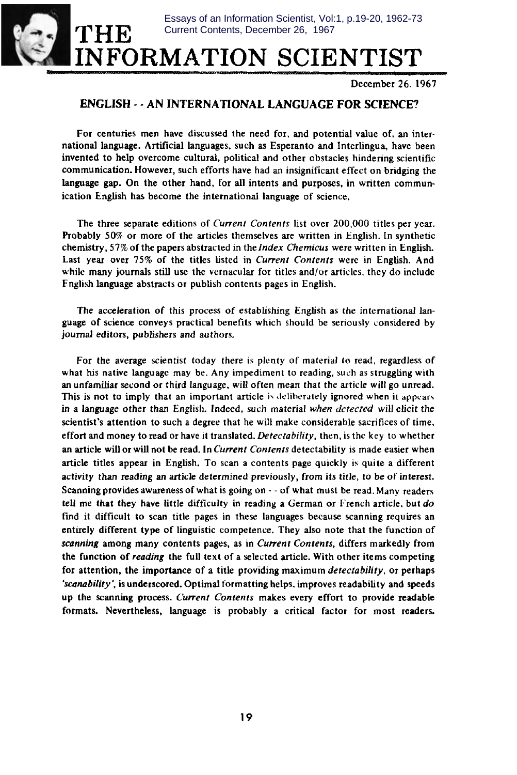**THE**  $\blacksquare$ **INFORMATION SCIENTIS** Essays of an Information Scientist, Vol:1, p.19-20, 1962-73 Current Contents, December 26, 1967

December 26.1967

## **ENGLISH -- AN INTERNATIONAL LANGUAGE FOR SCJENCE?**

For centuries men have discussed the need for, and potential value of, an international language. Artificial languages, such as Esperanto and Interlingua, have been invented to help overcome cultural, political and other obstacles hindering scientific communication. However, such efforts have had an insignificant effect on bridging the language gap. On the other hand, for all intents and purposes, in written **communication** English has become the international language of science.

The three separate editions of *Current Contents* list over 200,000 titles per year. Probably 50% or more of the articles themselves are written in English. in synthetic chemistry, 57% of the papers abstracted in the Index Chemicus were written in English. Last year over 75% of the titles listed in Current *Contents* were in English. And while many journals still use the vernacular for titles and/or articles, they do include Fnglish language abstracts or publish contents pages in English.

The acceleration of this process of establishing English as the international language of science conveys practical benefits which should be seriously considered by journal editors, publishers and authors.

For the average scientist today there is plenty of material to read, regardless of what his native Ianguagc may be. Any impediment to reading, such as struggling with an unfamiliar second or third language, will often mean that the article will go unread. This is not to imply that an important article is deliberately ignored when it appears. in a language other than English. Indeed, such material when *detected* will eficit the **scientist's attention** *to* such a degree that he will make considerable sacrifices of time, effort and money to read or have it translated. *Detecrubility,* then, isthe key to whether an article will or will not be read. In *Current Contents* detectability is made easier when article titles appear in Engtish. To scan a contents page quickly is quite a different activity than reading an article determined previously, from its title, to be of interest. Scanning provides awareness of what is going on -- of what must be read. Many readers tell me that they have little difficulty in reading a German or French article, but *do* find it difficult to scan title pages in these languages because scanning requires an entirely different type of linguistic competence. They also note that the function of scanning among many contents pages, as in Current Contents, differs markedly from the function of *reading* the full text of a selected article. With other items competing for attention, the importance of a title providing maximum *detectability,* or **perhaps** 'scanability', is underscored. Optimal formatting helps, improves readability and speeds up the scanning process. Current Contents makes every effort to provide readable formats. Nevertheless, language is probably a critical factor for most readers.